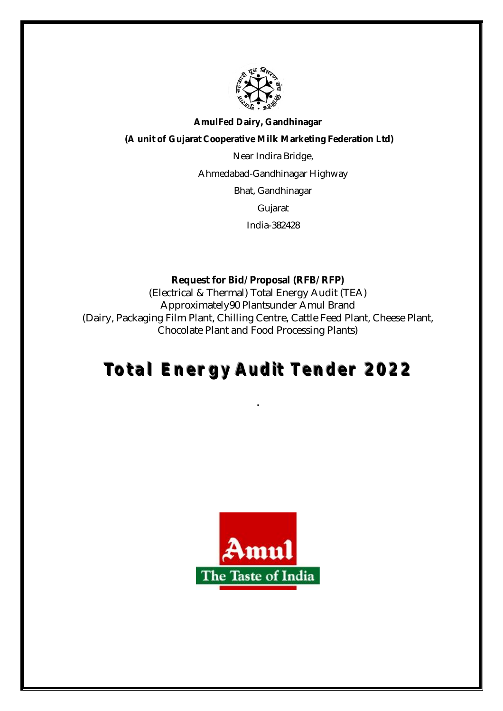

### **AmulFed Dairy, Gandhinagar**

**(A unit of Gujarat Cooperative Milk Marketing Federation Ltd)**

Near Indira Bridge,

Ahmedabad-Gandhinagar Highway

Bhat, Gandhinagar

Gujarat

India-382428

# **Request for Bid/ Proposal (RFB/ RFP)**

(Electrical & Thermal) Total Energy Audit (TEA) Approximately90 Plantsunder Amul Brand (Dairy, Packaging Film Plant, Chilling Centre, Cattle Feed Plant, Cheese Plant, Chocolate Plant and Food Processing Plants)

# **Totall Energy Audiit Tender 2022**

**.**

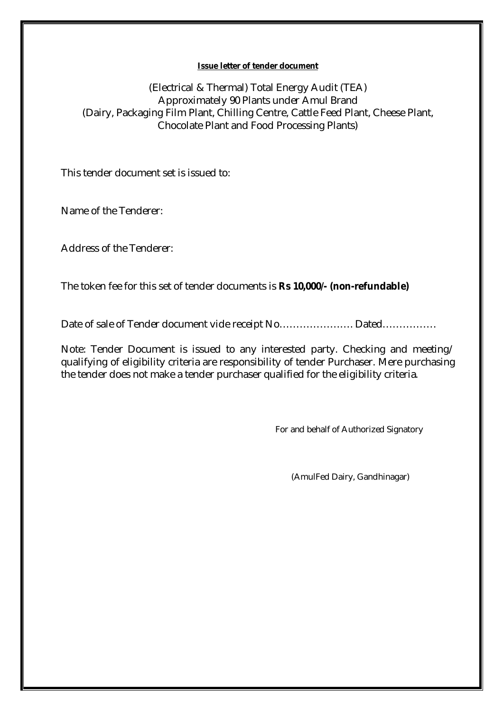#### **Issue letter of tender document**

(Electrical & Thermal) Total Energy Audit (TEA) Approximately 90 Plants under Amul Brand (Dairy, Packaging Film Plant, Chilling Centre, Cattle Feed Plant, Cheese Plant, Chocolate Plant and Food Processing Plants)

This tender document set is issued to:

Name of the Tenderer:

Address of the Tenderer:

The token fee for this set of tender documents is **Rs 10,000/- (non-refundable)**

Date of sale of Tender document vide receipt No…………………………………………………………………………………………

Note: Tender Document is issued to any interested party. Checking and meeting/ qualifying of eligibility criteria are responsibility of tender Purchaser. Mere purchasing the tender does not make a tender purchaser qualified for the eligibility criteria.

For and behalf of Authorized Signatory

(AmulFed Dairy, Gandhinagar)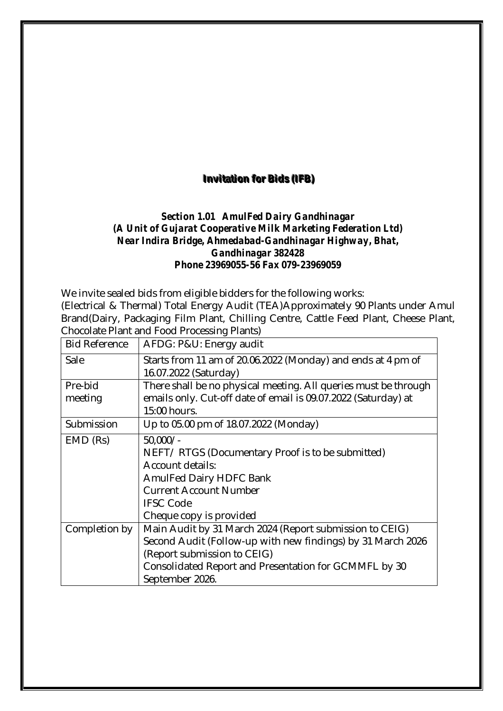# **Invitation for Bids (IFB)**

# *Section 1.01 AmulFed Dairy Gandhinagar (A Unit of Gujarat Cooperative Milk Marketing Federation Ltd) Near Indira Bridge, Ahmedabad-Gandhinagar Highway, Bhat, Gandhinagar 382428 Phone 23969055-56 Fax 079-23969059*

We invite sealed bids from eligible bidders for the following works:

(Electrical & Thermal) Total Energy Audit (TEA)Approximately 90 Plants under Amul Brand(Dairy, Packaging Film Plant, Chilling Centre, Cattle Feed Plant, Cheese Plant, Chocolate Plant and Food Processing Plants)

| <b>Bid Reference</b> | AFDG: P&U: Energy audit                                         |  |
|----------------------|-----------------------------------------------------------------|--|
| Sale                 | Starts from 11 am of 20.06.2022 (Monday) and ends at 4 pm of    |  |
|                      | 16.07.2022 (Saturday)                                           |  |
| Pre-bid              | There shall be no physical meeting. All queries must be through |  |
| meeting              | emails only. Cut-off date of email is 09.07.2022 (Saturday) at  |  |
|                      | 15:00 hours.                                                    |  |
| Submission           | Up to 05.00 pm of 18.07.2022 (Monday)                           |  |
| EMD (Rs)             | $50,000/-$                                                      |  |
|                      | NEFT/RTGS (Documentary Proof is to be submitted)                |  |
|                      | Account details:                                                |  |
|                      | <b>AmulFed Dairy HDFC Bank</b>                                  |  |
|                      | <b>Current Account Number</b>                                   |  |
|                      | <b>IFSC Code</b>                                                |  |
|                      | Cheque copy is provided                                         |  |
| Completion by        | Main Audit by 31 March 2024 (Report submission to CEIG)         |  |
|                      | Second Audit (Follow-up with new findings) by 31 March 2026     |  |
|                      | (Report submission to CEIG)                                     |  |
|                      | Consolidated Report and Presentation for GCMMFL by 30           |  |
|                      | September 2026.                                                 |  |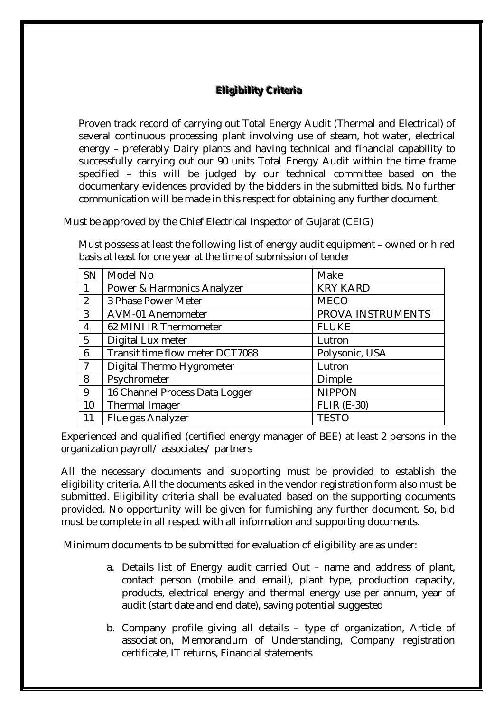# **Eligibility Criteria**

 Proven track record of carrying out Total Energy Audit (Thermal and Electrical) of several continuous processing plant involving use of steam, hot water, electrical energy – preferably Dairy plants and having technical and financial capability to successfully carrying out our 90 units Total Energy Audit within the time frame specified – this will be judged by our technical committee based on the documentary evidences provided by the bidders in the submitted bids. No further communication will be made in this respect for obtaining any further document.

Must be approved by the Chief Electrical Inspector of Gujarat (CEIG)

 Must possess at least the following list of energy audit equipment – owned or hired basis at least for one year at the time of submission of tender

| <b>SN</b>      | Model No                        | Make               |
|----------------|---------------------------------|--------------------|
| $\mathbf{1}$   | Power & Harmonics Analyzer      | <b>KRY KARD</b>    |
| 2              | 3 Phase Power Meter             | <b>MECO</b>        |
| 3              | AVM-01 Anemometer               | PROVA INSTRUMENTS  |
| $\overline{4}$ | 62 MINI IR Thermometer          | <b>FLUKE</b>       |
| 5              | Digital Lux meter               | Lutron             |
| 6              | Transit time flow meter DCT7088 | Polysonic, USA     |
| $\overline{7}$ | Digital Thermo Hygrometer       | Lutron             |
| 8              | Psychrometer                    | Dimple             |
| 9              | 16 Channel Process Data Logger  | <b>NIPPON</b>      |
| 10             | Thermal Imager                  | <b>FLIR (E-30)</b> |
| 11             | Flue gas Analyzer               | <b>TESTO</b>       |

Experienced and qualified (certified energy manager of BEE) at least 2 persons in the organization payroll/ associates/ partners

All the necessary documents and supporting must be provided to establish the eligibility criteria. All the documents asked in the vendor registration form also must be submitted. Eligibility criteria shall be evaluated based on the supporting documents provided. No opportunity will be given for furnishing any further document. So, bid must be complete in all respect with all information and supporting documents.

Minimum documents to be submitted for evaluation of eligibility are as under:

- a. Details list of Energy audit carried Out name and address of plant, contact person (mobile and email), plant type, production capacity, products, electrical energy and thermal energy use per annum, year of audit (start date and end date), saving potential suggested
- b. Company profile giving all details type of organization, Article of association, Memorandum of Understanding, Company registration certificate, IT returns, Financial statements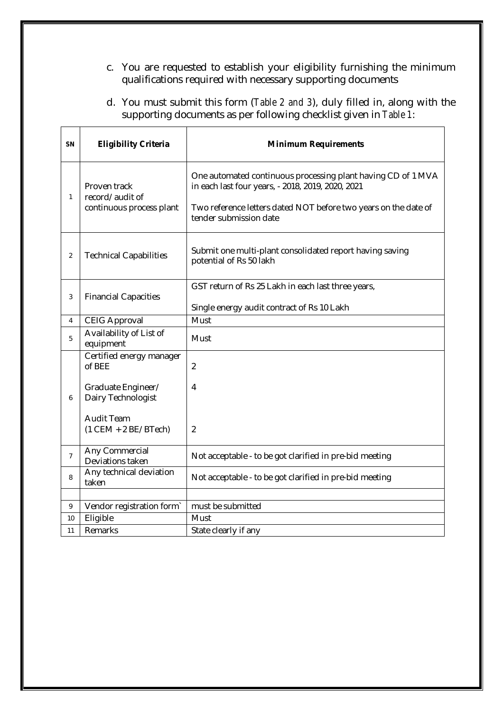- c. You are requested to establish your eligibility furnishing the minimum qualifications required with necessary supporting documents
- d. You must submit this form (*Table 2 and 3*), duly filled in, along with the supporting documents as per following checklist given in *Table 1*:

 $\top$ 

|                                                                                                                                                                                                                                                                                    | <b>Minimum Requirements</b> |
|------------------------------------------------------------------------------------------------------------------------------------------------------------------------------------------------------------------------------------------------------------------------------------|-----------------------------|
| One automated continuous processing plant having CD of 1 MVA<br>Proven track<br>in each last four years, - 2018, 2019, 2020, 2021<br>record/audit of<br>1<br>continuous process plant<br>Two reference letters dated NOT before two years on the date of<br>tender submission date |                             |
| Submit one multi-plant consolidated report having saving<br><b>Technical Capabilities</b><br>$\overline{2}$<br>potential of Rs 50 lakh                                                                                                                                             |                             |
| GST return of Rs 25 Lakh in each last three years,<br><b>Financial Capacities</b><br>3<br>Single energy audit contract of Rs 10 Lakh                                                                                                                                               |                             |
| <b>CEIG Approval</b><br>Must<br>4                                                                                                                                                                                                                                                  |                             |
| Availability of List of<br>5<br>Must<br>equipment                                                                                                                                                                                                                                  |                             |
| Certified energy manager<br>of BEE<br>$\overline{2}$<br>Graduate Engineer/<br>4<br>Dairy Technologist<br>6<br><b>Audit Team</b><br>$(1$ CEM + 2 BE/BTech)<br>$\overline{2}$                                                                                                        |                             |
| Any Commercial<br>$\overline{7}$<br>Not acceptable - to be got clarified in pre-bid meeting<br>Deviations taken                                                                                                                                                                    |                             |
| Any technical deviation<br>Not acceptable - to be got clarified in pre-bid meeting<br>8<br>taken                                                                                                                                                                                   |                             |
|                                                                                                                                                                                                                                                                                    |                             |
| must be submitted<br>Vendor registration form`<br>9<br>Eligible                                                                                                                                                                                                                    |                             |
| Must<br>10<br>Remarks<br>11<br>State clearly if any                                                                                                                                                                                                                                |                             |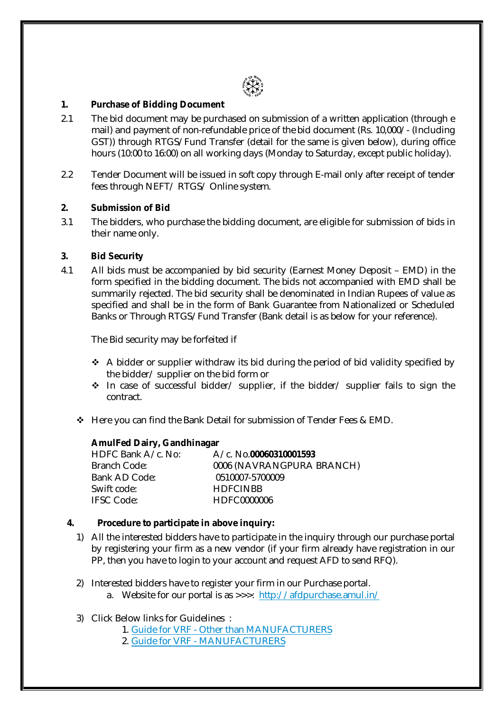

#### **1. Purchase of Bidding Document**

- 2.1 The bid document may be purchased on submission of a written application (through e mail) and payment of non-refundable price of the bid document (Rs. 10,000/- (Including GST)) through RTGS/Fund Transfer (detail for the same is given below), during office hours (10:00 to 16:00) on all working days (Monday to Saturday, except public holiday).
- 2.2 Tender Document will be issued in soft copy through E-mail only after receipt of tender fees through NEFT/ RTGS/ Online system.

#### **2. Submission of Bid**

3.1 The bidders, who purchase the bidding document, are eligible for submission of bids in their name only.

#### **3. Bid Security**

4.1 All bids must be accompanied by bid security (Earnest Money Deposit – EMD) in the form specified in the bidding document. The bids not accompanied with EMD shall be summarily rejected. The bid security shall be denominated in Indian Rupees of value as specified and shall be in the form of Bank Guarantee from Nationalized or Scheduled Banks or Through RTGS/Fund Transfer (Bank detail is as below for your reference).

The Bid security may be forfeited if

- \* A bidder or supplier withdraw its bid during the period of bid validity specified by the bidder/ supplier on the bid form or
- In case of successful bidder/ supplier, if the bidder/ supplier fails to sign the contract.
- Here you can find the Bank Detail for submission of Tender Fees & EMD.

#### **AmulFed Dairy, Gandhinagar**

| HDFC Bank A/c. No: | A/c. No.00060310001593    |
|--------------------|---------------------------|
| Branch Code:       | 0006 (NAVRANGPURA BRANCH) |
| Bank AD Code:      | 0510007-5700009           |
| Swift code:        | <b>HDFCINBB</b>           |
| <b>IFSC Code:</b>  | HDFC0000006               |

#### **4. Procedure to participate in above inquiry:**

- 1) All the interested bidders have to participate in the inquiry through our purchase portal by registering your firm as a new vendor (if your firm already have registration in our PP, then you have to login to your account and request AFD to send RFQ).
- 2) Interested bidders have to register your firm in our Purchase portal.
	- a. Website for our portal is as >>>: http://afdpurchase.amul.in/

#### 3) Click Below links for Guidelines :

- 1. Guide for VRF Other than MANUFACTURERS
- 2. Guide for VRF MANUFACTURERS